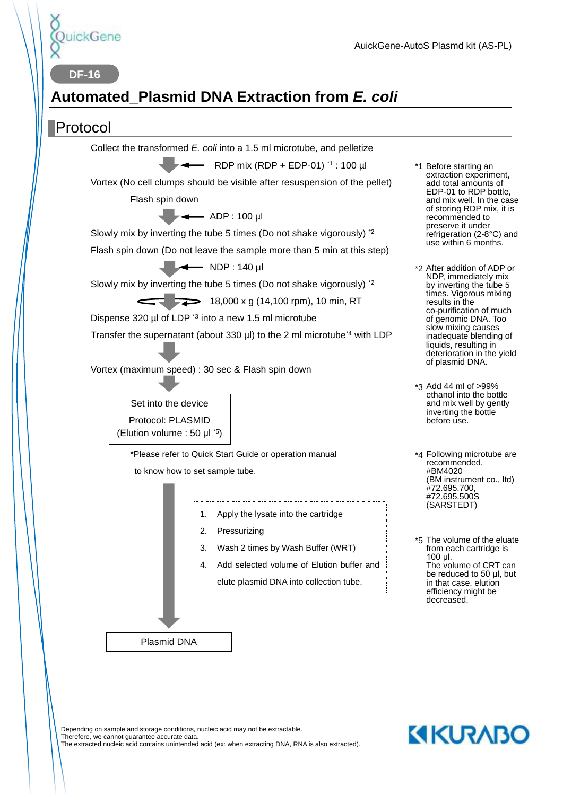

**DF-16**

# **Automated\_Plasmid DNA Extraction from** *E. coli*

#### Protocol



Depending on sample and storage conditions, nucleic acid may not be extractable. Therefore, we cannot guarantee accurate data. The extracted nucleic acid contains unintended acid (ex: when extracting DNA, RNA is also extracted).

# **KIKURABO**